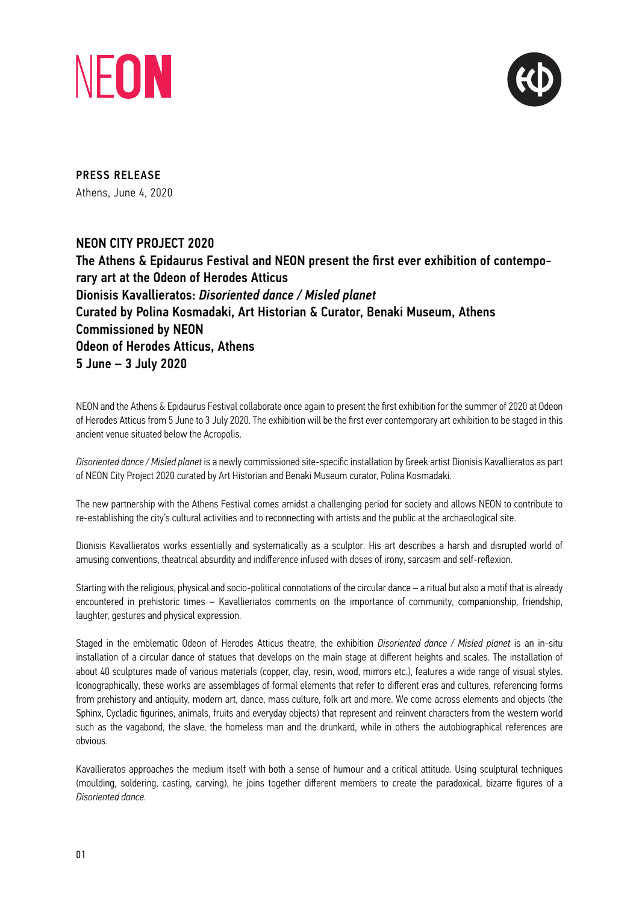



PRESS RELEASE Athens, June 4, 2020

# NEON CITY PROJECT 2020

The Athens & Epidaurus Festival and NEON present the first ever exhibition of contemporary art at the Odeon of Herodes Atticus Dionisis Kavallieratos: *Disoriented dance / Misled planet* Curated by Polina Kosmadaki, Art Historian & Curator, Benaki Museum, Athens Commissioned by NEON Odeon of Herodes Atticus, Athens 5 June – 3 July 2020

NEON and the Athens & Epidaurus Festival collaborate once again to present the first exhibition for the summer of 2020 at Odeon of Herodes Atticus from 5 June to 3 July 2020. The exhibition will be the first ever contemporary art exhibition to be staged in this ancient venue situated below the Acropolis.

*Disoriented dance / Misled planet* is a newly commissioned site-specific installation by Greek artist Dionisis Kavallieratos as part of NEON City Project 2020 curated by Art Historian and Benaki Museum curator, Polina Kosmadaki.

The new partnership with the Athens Festival comes amidst a challenging period for society and allows NEON to contribute to re-establishing the city's cultural activities and to reconnecting with artists and the public at the archaeological site.

Dionisis Kavallieratos works essentially and systematically as a sculptor. His art describes a harsh and disrupted world of amusing conventions, theatrical absurdity and indifference infused with doses of irony, sarcasm and self-reflexion.

Starting with the religious, physical and socio-political connotations of the circular dance – a ritual but also a motif that is already encountered in prehistoric times – Kavallieriatos comments on the importance of community, companionship, friendship, laughter, gestures and physical expression.

Staged in the emblematic Odeon of Herodes Atticus theatre, the exhibition *Disoriented dance / Misled planet* is an in-situ installation of a circular dance of statues that develops on the main stage at different heights and scales. The installation of about 40 sculptures made of various materials (copper, clay, resin, wood, mirrors etc.), features a wide range of visual styles. Iconographically, these works are assemblages of formal elements that refer to different eras and cultures, referencing forms from prehistory and antiquity, modern art, dance, mass culture, folk art and more. We come across elements and objects (the Sphinx, Cycladic figurines, animals, fruits and everyday objects) that represent and reinvent characters from the western world such as the vagabond, the slave, the homeless man and the drunkard, while in others the autobiographical references are obvious.

Kavallieratos approaches the medium itself with both a sense of humour and a critical attitude. Using sculptural techniques (moulding, soldering, casting, carving), he joins together different members to create the paradoxical, bizarre figures of a *Disoriented dance.*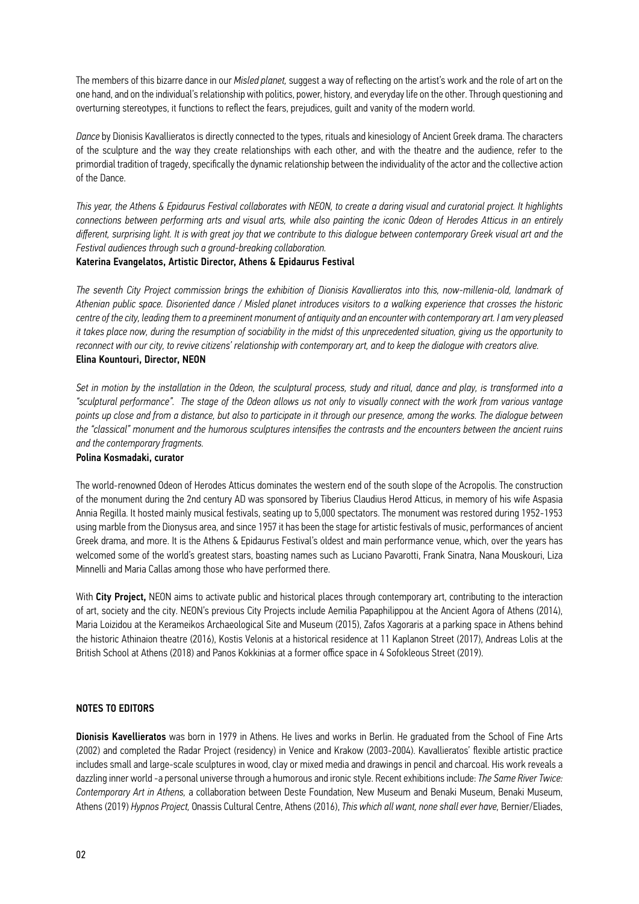The members of this bizarre dance in our *Misled planet,* suggest a way of reflecting on the artist's work and the role of art on the one hand, and on the individual's relationship with politics, power, history, and everyday life on the other. Through questioning and overturning stereotypes, it functions to reflect the fears, prejudices, guilt and vanity of the modern world.

*Dance* by Dionisis Kavallieratos is directly connected to the types, rituals and kinesiology of Ancient Greek drama. The characters of the sculpture and the way they create relationships with each other, and with the theatre and the audience, refer to the primordial tradition of tragedy, specifically the dynamic relationship between the individuality of the actor and the collective action of the Dance.

*This year, the Athens & Epidaurus Festival collaborates with NEON, to create a daring visual and curatorial project. It highlights connections between performing arts and visual arts, while also painting the iconic Odeon of Herodes Atticus in an entirely different, surprising light. It is with great joy that we contribute to this dialogue between contemporary Greek visual art and the Festival audiences through such a ground-breaking collaboration.*

#### Katerina Evangelatos, Artistic Director, Athens & Epidaurus Festival

*The seventh City Project commission brings the exhibition of Dionisis Kavallieratos into this, now-millenia-old, landmark of Athenian public space. Disoriented dance / Misled planet introduces visitors to a walking experience that crosses the historic centre of the city, leading them to a preeminent monument of antiquity and an encounter with contemporary art. I am very pleased it takes place now, during the resumption of sociability in the midst of this unprecedented situation, giving us the opportunity to reconnect with our city, to revive citizens' relationship with contemporary art, and to keep the dialogue with creators alive.* Elina Kountouri, Director, NEON

*Set in motion by the installation in the Odeon, the sculptural process, study and ritual, dance and play, is transformed into a "sculptural performance". The stage of the Odeon allows us not only to visually connect with the work from various vantage points up close and from a distance, but also to participate in it through our presence, among the works. The dialogue between the "classical" monument and the humorous sculptures intensifies the contrasts and the encounters between the ancient ruins and the contemporary fragments.*

#### Polina Kosmadaki, curator

The world-renowned Odeon of Herodes Atticus dominates the western end of the south slope of the Acropolis. The construction of the monument during the 2nd century AD was sponsored by Tiberius Claudius Herod Atticus, in memory of his wife Aspasia Annia Regilla. It hosted mainly musical festivals, seating up to 5,000 spectators. The monument was restored during 1952-1953 using marble from the Dionysus area, and since 1957 it has been the stage for artistic festivals of music, performances of ancient Greek drama, and more. It is the Athens & Epidaurus Festival's oldest and main performance venue, which, over the years has welcomed some of the world's greatest stars, boasting names such as Luciano Pavarotti, Frank Sinatra, Nana Mouskouri, Liza Minnelli and Maria Callas among those who have performed there.

With City Project, NEON aims to activate public and historical places through contemporary art, contributing to the interaction of art, society and the city. NEON's previous City Projects include Aemilia Papaphilippou at the Ancient Agora of Athens (2014), Maria Loizidou at the Kerameikos Archaeological Site and Museum (2015), Zafos Xagoraris at a parking space in Athens behind the historic Αthinaion theatre (2016), Kostis Velonis at a historical residence at 11 Kaplanon Street (2017), Andreas Lolis at the British School at Athens (2018) and Panos Kokkinias at a former office space in 4 Sofokleous Street (2019).

## NOTES TO EDITORS

Dionisis Kavellieratos was born in 1979 in Athens. He lives and works in Berlin. He graduated from the School of Fine Arts (2002) and completed the Radar Project (residency) in Venice and Krakow (2003-2004). Kavallieratos' flexible artistic practice includes small and large-scale sculptures in wood, clay or mixed media and drawings in pencil and charcoal. His work reveals a dazzling inner world -a personal universe through a humorous and ironic style. Recent exhibitions include: *The Same River Twice: Contemporary Art in Athens,* a collaboration between Deste Foundation, New Museum and Benaki Museum, Benaki Museum, Athens (2019) *Hypnos Project,* Onassis Cultural Centre, Athens (2016), *This which all want, none shall ever have,* Bernier/Eliades,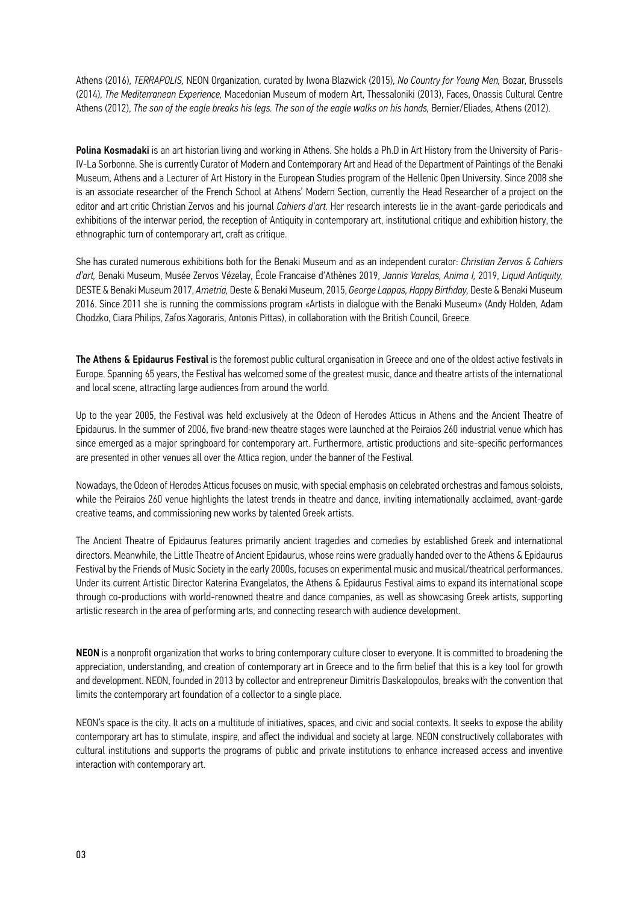Athens (2016), *TERRAPOLIS,* NEON Organization, curated by Iwona Blazwick (2015), *No Country for Young Men,* Bozar, Brussels (2014), *The Mediterranean Experience,* Macedonian Museum of modern Art, Thessaloniki (2013), Faces, Onassis Cultural Centre Athens (2012), *The son of the eagle breaks his legs. The son of the eagle walks on his hands*, Bernier/Eliades, Athens (2012).

Polina Kosmadaki is an art historian living and working in Athens. She holds a Ph.D in Art History from the University of Paris-IV-La Sorbonne. She is currently Curator of Modern and Contemporary Art and Head of the Department of Paintings of the Benaki Museum, Athens and a Lecturer of Art History in the European Studies program of the Hellenic Open University. Since 2008 she is an associate researcher of the French School at Athens' Modern Section, currently the Head Researcher of a project on the editor and art critic Christian Zervos and his journal *Cahiers d'art.* Her research interests lie in the avant-garde periodicals and exhibitions of the interwar period, the reception of Antiquity in contemporary art, institutional critique and exhibition history, the ethnographic turn of contemporary art, craft as critique.

She has curated numerous exhibitions both for the Benaki Museum and as an independent curator: *Christian Zervos & Cahiers d'art,* Benaki Museum, Musée Zervos Vézelay, École Francaise d'Athènes 2019, *Jannis Varelas, Anima I,* 2019, *Liquid Antiquity,*  DESTE & Benaki Museum 2017, *Ametria,* Deste & Benaki Museum, 2015, *George Lappas, Happy Birthday,* Deste & Benaki Museum 2016. Since 2011 she is running the commissions program «Artists in dialogue with the Benaki Museum» (Andy Holden, Adam Chodzko, Ciara Philips, Zafos Xagoraris, Antonis Pittas), in collaboration with the British Council, Greece.

The Athens & Epidaurus Festival is the foremost public cultural organisation in Greece and one of the oldest active festivals in Europe. Spanning 65 years, the Festival has welcomed some of the greatest music, dance and theatre artists of the international and local scene, attracting large audiences from around the world.

Up to the year 2005, the Festival was held exclusively at the Odeon of Herodes Atticus in Athens and the Ancient Theatre of Epidaurus. In the summer of 2006, five brand-new theatre stages were launched at the Peiraios 260 industrial venue which has since emerged as a major springboard for contemporary art. Furthermore, artistic productions and site-specific performances are presented in other venues all over the Attica region, under the banner of the Festival.

Nowadays, the Odeon of Herodes Atticus focuses on music, with special emphasis on celebrated orchestras and famous soloists, while the Peiraios 260 venue highlights the latest trends in theatre and dance, inviting internationally acclaimed, avant-garde creative teams, and commissioning new works by talented Greek artists.

The Ancient Theatre of Epidaurus features primarily ancient tragedies and comedies by established Greek and international directors. Meanwhile, the Little Theatre of Ancient Epidaurus, whose reins were gradually handed over to the Athens & Epidaurus Festival by the Friends of Music Society in the early 2000s, focuses on experimental music and musical/theatrical performances. Under its current Artistic Director Katerina Evangelatos, the Athens & Epidaurus Festival aims to expand its international scope through co-productions with world-renowned theatre and dance companies, as well as showcasing Greek artists, supporting artistic research in the area of performing arts, and connecting research with audience development.

NEON is a nonprofit organization that works to bring contemporary culture closer to everyone. It is committed to broadening the appreciation, understanding, and creation of contemporary art in Greece and to the firm belief that this is a key tool for growth and development. NEON, founded in 2013 by collector and entrepreneur Dimitris Daskalopoulos, breaks with the convention that limits the contemporary art foundation of a collector to a single place.

NEON's space is the city. It acts on a multitude of initiatives, spaces, and civic and social contexts. It seeks to expose the ability contemporary art has to stimulate, inspire, and affect the individual and society at large. NEON constructively collaborates with cultural institutions and supports the programs of public and private institutions to enhance increased access and inventive interaction with contemporary art.